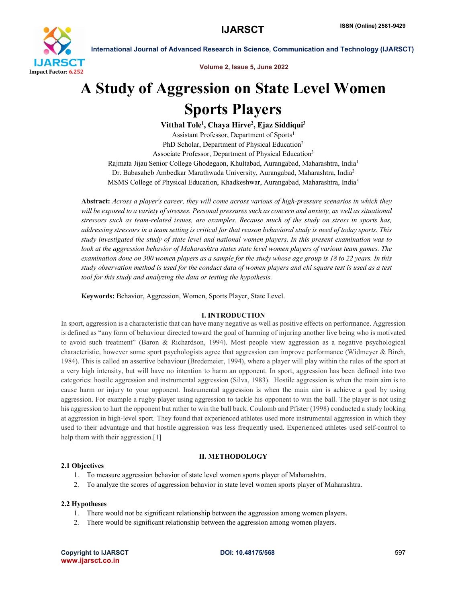

International Journal of Advanced Research in Science, Communication and Technology (IJARSCT)

Volume 2, Issue 5, June 2022

# A Study of Aggression on State Level Women Sports Players

Vitthal Tole<sup>1</sup>, Chaya Hirve<sup>2</sup>, Ejaz Siddiqui<sup>3</sup>

Assistant Professor, Department of Sports<sup>1</sup> PhD Scholar, Department of Physical Education<sup>2</sup> Associate Professor, Department of Physical Education<sup>3</sup> Rajmata Jijau Senior College Ghodegaon, Khultabad, Aurangabad, Maharashtra, India1 Dr. Babasaheb Ambedkar Marathwada University, Aurangabad, Maharashtra, India2 MSMS College of Physical Education, Khadkeshwar, Aurangabad, Maharashtra, India3

Abstract: *Across a player's career, they will come across various of high-pressure scenarios in which they will be exposed to a variety of stresses. Personal pressures such as concern and anxiety, as well as situational stressors such as team-related issues, are examples. Because much of the study on stress in sports has, addressing stressors in a team setting is critical for that reason behavioral study is need of today sports. This study investigated the study of state level and national women players. In this present examination was to look at the aggression behavior of Maharashtra states state level women players of various team games. The examination done on 300 women players as a sample for the study whose age group is 18 to 22 years. In this study observation method is used for the conduct data of women players and chi square test is used as a test tool for this study and analyzing the data or testing the hypothesis.*

Keywords: Behavior, Aggression, Women, Sports Player, State Level.

# I. INTRODUCTION

In sport, aggression is a characteristic that can have many negative as well as positive effects on performance. Aggression is defined as "any form of behaviour directed toward the goal of harming of injuring another live being who is motivated to avoid such treatment" (Baron & Richardson, 1994). Most people view aggression as a negative psychological characteristic, however some sport psychologists agree that aggression can improve performance (Widmeyer & Birch, 1984). This is called an assertive behaviour (Bredemeier, 1994), where a player will play within the rules of the sport at a very high intensity, but will have no intention to harm an opponent. In sport, aggression has been defined into two categories: hostile aggression and instrumental aggression (Silva, 1983). Hostile aggression is when the main aim is to cause harm or injury to your opponent. Instrumental aggression is when the main aim is achieve a goal by using aggression. For example a rugby player using aggression to tackle his opponent to win the ball. The player is not using his aggression to hurt the opponent but rather to win the ball back. Coulomb and Pfister (1998) conducted a study looking at aggression in high-level sport. They found that experienced athletes used more instrumental aggression in which they used to their advantage and that hostile aggression was less frequently used. Experienced athletes used self-control to help them with their aggression.<sup>[1]</sup>

# 2.1 Objectives

- II. METHODOLOGY
- 1. To measure aggression behavior of state level women sports player of Maharashtra.
- 2. To analyze the scores of aggression behavior in state level women sports player of Maharashtra.

# 2.2 Hypotheses

- 1. There would not be significant relationship between the aggression among women players.
- 2. There would be significant relationship between the aggression among women players.

Copyright to IJARSCT **DOI: 10.48175/568** 597 www.ijarsct.co.in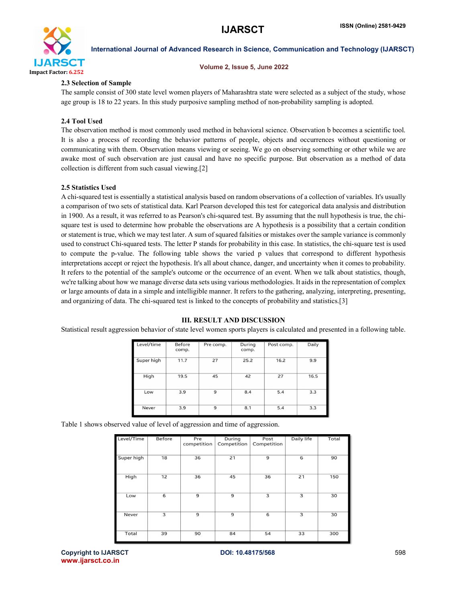

### International Journal of Advanced Research in Science, Communication and Technology (IJARSCT)

#### Volume 2, Issue 5, June 2022

# 2.3 Selection of Sample

The sample consist of 300 state level women players of Maharashtra state were selected as a subject of the study, whose age group is 18 to 22 years. In this study purposive sampling method of non-probability sampling is adopted.

# 2.4 Tool Used

The observation method is most commonly used method in behavioral science. Observation b becomes a scientific tool. It is also a process of recording the behavior patterns of people, objects and occurrences without questioning or communicating with them. Observation means viewing or seeing. We go on observing something or other while we are awake most of such observation are just causal and have no specific purpose. But observation as a method of data collection is different from such casual viewing.[2]

# 2.5 Statistics Used

A chi-squared test is essentially a statistical analysis based on random observations of a collection of variables. It's usually a comparison of two sets of statistical data. Karl Pearson developed this test for categorical data analysis and distribution in 1900. As a result, it was referred to as Pearson's chi-squared test. By assuming that the null hypothesis is true, the chisquare test is used to determine how probable the observations are A hypothesis is a possibility that a certain condition or statement is true, which we may test later. A sum of squared falsities or mistakes over the sample variance is commonly used to construct Chi-squared tests. The letter P stands for probability in this case. In statistics, the chi-square test is used to compute the p-value. The following table shows the varied p values that correspond to different hypothesis interpretations accept or reject the hypothesis. It's all about chance, danger, and uncertainty when it comes to probability. It refers to the potential of the sample's outcome or the occurrence of an event. When we talk about statistics, though, we're talking about how we manage diverse data sets using various methodologies. It aids in the representation of complex or large amounts of data in a simple and intelligible manner. It refers to the gathering, analyzing, interpreting, presenting, and organizing of data. The chi-squared test is linked to the concepts of probability and statistics.[3]

#### Before Level/time Pre comp. Durina Post comp Daily comp. comp.  $11.7$  $\overline{27}$  $25.2$  $16.2$  $99$ Super high High  $19.5$  $\overline{45}$  $\overline{42}$  $\overline{27}$  $16.5$  $\overline{3.9}$  $\overline{9}$  $8.4$  $3.3$ Low  $\overline{5.4}$  $3.9$  $\overline{9}$  $8.1$  $5.4$  $3.3$ Neve

### III. RESULT AND DISCUSSION Statistical result aggression behavior of state level women sports players is calculated and presented in a following table.

Table 1 shows observed value of level of aggression and time of aggression.

| Level/Time | <b>Before</b> | Pre<br>competition | During<br>Competition | Post<br>Competition | Daily life | Total |
|------------|---------------|--------------------|-----------------------|---------------------|------------|-------|
| Super high | 18            | 36                 | 21                    | 9                   | 6          | 90    |
| High       | 12            | 36                 | 45                    | 36                  | 21         | 150   |
| Low        | 6             | 9                  | 9                     | 3                   | 3          | 30    |
| Never      | 3             | $\overline{9}$     | 9                     | 6                   | 3          | 30    |
| Total      | 39            | 90                 | 84                    | 54                  | 33         | 300   |

Copyright to IJARSCT **DOI: 10.48175/568** 598 www.ijarsct.co.in